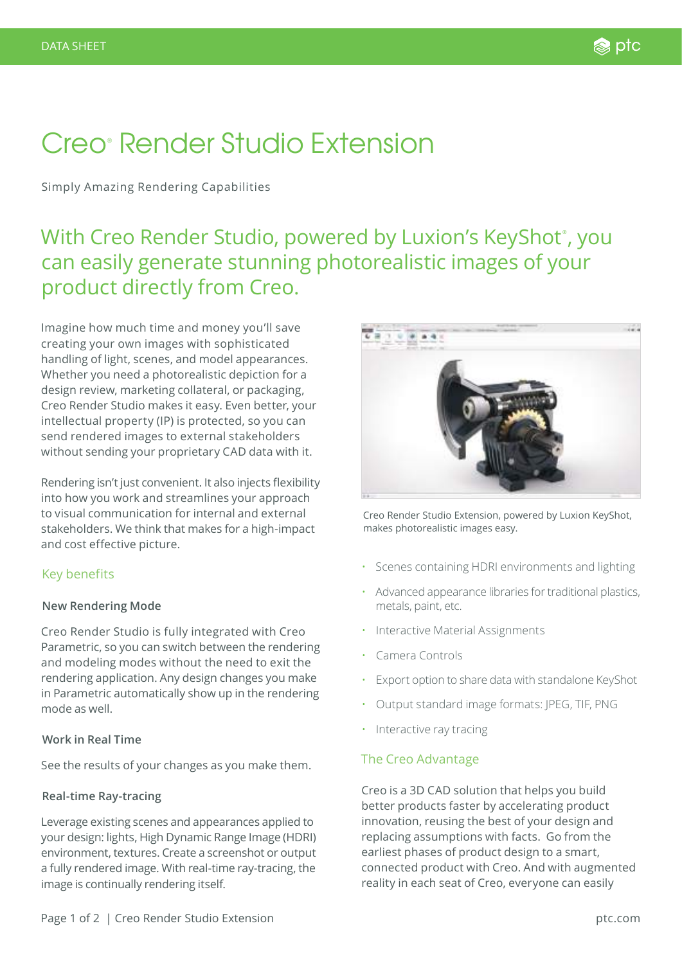# Creo® Render Studio Extension

Simply Amazing Rendering Capabilities

# With Creo Render Studio, powered by Luxion's KeyShot˚, you can easily generate stunning photorealistic images of your product directly from Creo.

Imagine how much time and money you'll save creating your own images with sophisticated handling of light, scenes, and model appearances. Whether you need a photorealistic depiction for a design review, marketing collateral, or packaging, Creo Render Studio makes it easy. Even better, your intellectual property (IP) is protected, so you can send rendered images to external stakeholders without sending your proprietary CAD data with it.

Rendering isn't just convenient. It also injects flexibility into how you work and streamlines your approach to visual communication for internal and external stakeholders. We think that makes for a high-impact and cost effective picture.

## Key benefits

#### **New Rendering Mode**

Creo Render Studio is fully integrated with Creo Parametric, so you can switch between the rendering and modeling modes without the need to exit the rendering application. Any design changes you make in Parametric automatically show up in the rendering mode as well.

#### **Work in Real Time**

See the results of your changes as you make them.

#### **Real-time Ray-tracing**

Leverage existing scenes and appearances applied to your design: lights, High Dynamic Range Image (HDRI) environment, textures. Create a screenshot or output a fully rendered image. With real-time ray-tracing, the image is continually rendering itself.



Creo Render Studio Extension, powered by Luxion KeyShot, makes photorealistic images easy.

- Scenes containing HDRI environments and lighting
- Advanced appearance libraries for traditional plastics, metals, paint, etc.
- Interactive Material Assignments
- Camera Controls
- Export option to share data with standalone KeyShot
- Output standard image formats: JPEG, TIF, PNG
- Interactive ray tracing

## The Creo Advantage

Creo is a 3D CAD solution that helps you build better products faster by accelerating product innovation, reusing the best of your design and replacing assumptions with facts. Go from the earliest phases of product design to a smart, connected product with Creo. And with augmented reality in each seat of Creo, everyone can easily